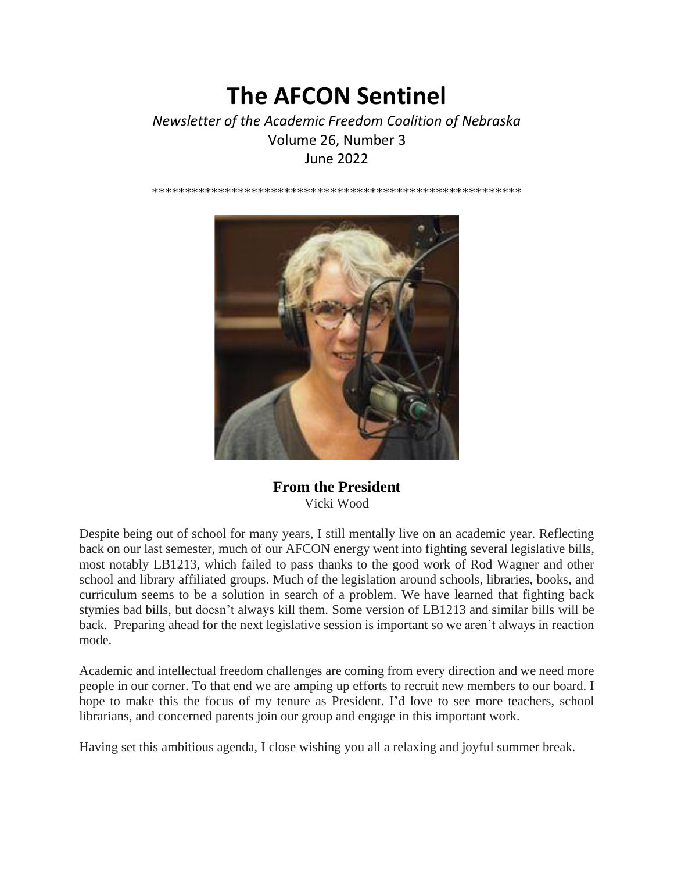# **The AFCON Sentinel**

# *Newsletter of the Academic Freedom Coalition of Nebraska* Volume 26, Number 3 June 2022

\*\*\*\*\*\*\*\*\*\*\*\*\*\*\*\*\*\*\*\*\*\*\*\*\*\*\*\*\*\*\*\*\*\*\*\*\*\*\*\*\*\*\*\*\*\*\*\*\*\*\*\*\*\*\*\*



**From the President** Vicki Wood

Despite being out of school for many years, I still mentally live on an academic year. Reflecting back on our last semester, much of our AFCON energy went into fighting several legislative bills, most notably LB1213, which failed to pass thanks to the good work of Rod Wagner and other school and library affiliated groups. Much of the legislation around schools, libraries, books, and curriculum seems to be a solution in search of a problem. We have learned that fighting back stymies bad bills, but doesn't always kill them. Some version of LB1213 and similar bills will be back. Preparing ahead for the next legislative session is important so we aren't always in reaction mode.

Academic and intellectual freedom challenges are coming from every direction and we need more people in our corner. To that end we are amping up efforts to recruit new members to our board. I hope to make this the focus of my tenure as President. I'd love to see more teachers, school librarians, and concerned parents join our group and engage in this important work.

Having set this ambitious agenda, I close wishing you all a relaxing and joyful summer break.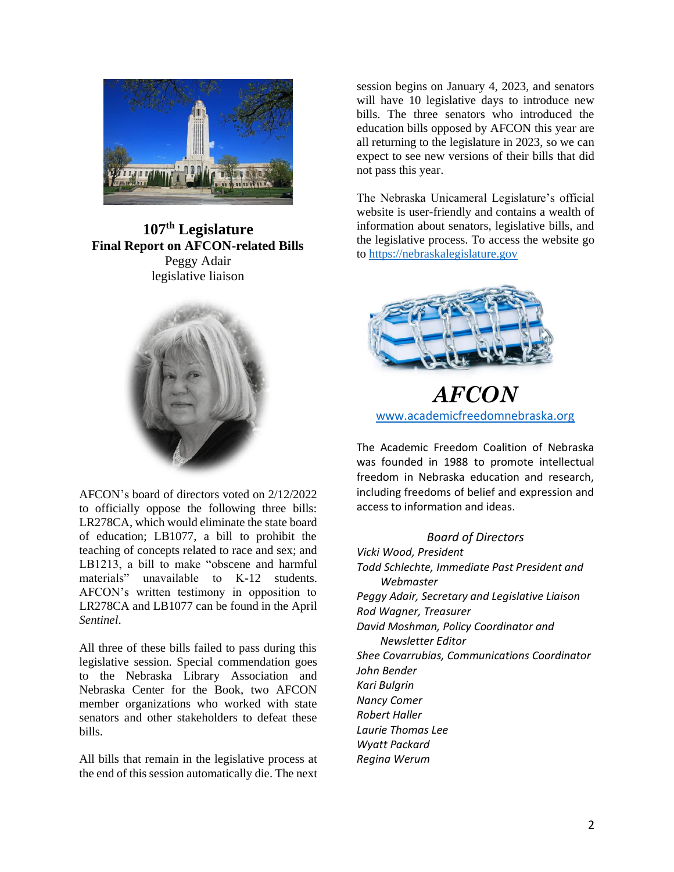

**107th Legislature Final Report on AFCON-related Bills** Peggy Adair legislative liaison



AFCON's board of directors voted on 2/12/2022 to officially oppose the following three bills: LR278CA, which would eliminate the state board of education; LB1077, a bill to prohibit the teaching of concepts related to race and sex; and LB1213, a bill to make "obscene and harmful materials" unavailable to K-12 students. AFCON's written testimony in opposition to LR278CA and LB1077 can be found in the April *Sentinel*.

All three of these bills failed to pass during this legislative session. Special commendation goes to the Nebraska Library Association and Nebraska Center for the Book, two AFCON member organizations who worked with state senators and other stakeholders to defeat these bills.

All bills that remain in the legislative process at the end of this session automatically die. The next session begins on January 4, 2023, and senators will have 10 legislative days to introduce new bills. The three senators who introduced the education bills opposed by AFCON this year are all returning to the legislature in 2023, so we can expect to see new versions of their bills that did not pass this year.

The Nebraska Unicameral Legislature's official website is user-friendly and contains a wealth of information about senators, legislative bills, and the legislative process. To access the website go to [https://nebraskalegislature.gov](https://nebraskalegislature.gov/)



*AFCON* [www.academicfreedomnebraska.org](http://www.academicfreedomnebraska.org/)

The Academic Freedom Coalition of Nebraska was founded in 1988 to promote intellectual freedom in Nebraska education and research, including freedoms of belief and expression and access to information and ideas.

# *Board of Directors*

*Vicki Wood, President Todd Schlechte, Immediate Past President and Webmaster Peggy Adair, Secretary and Legislative Liaison Rod Wagner, Treasurer David Moshman, Policy Coordinator and Newsletter Editor Shee Covarrubias, Communications Coordinator John Bender Kari Bulgrin Nancy Comer Robert Haller Laurie Thomas Lee Wyatt Packard Regina Werum*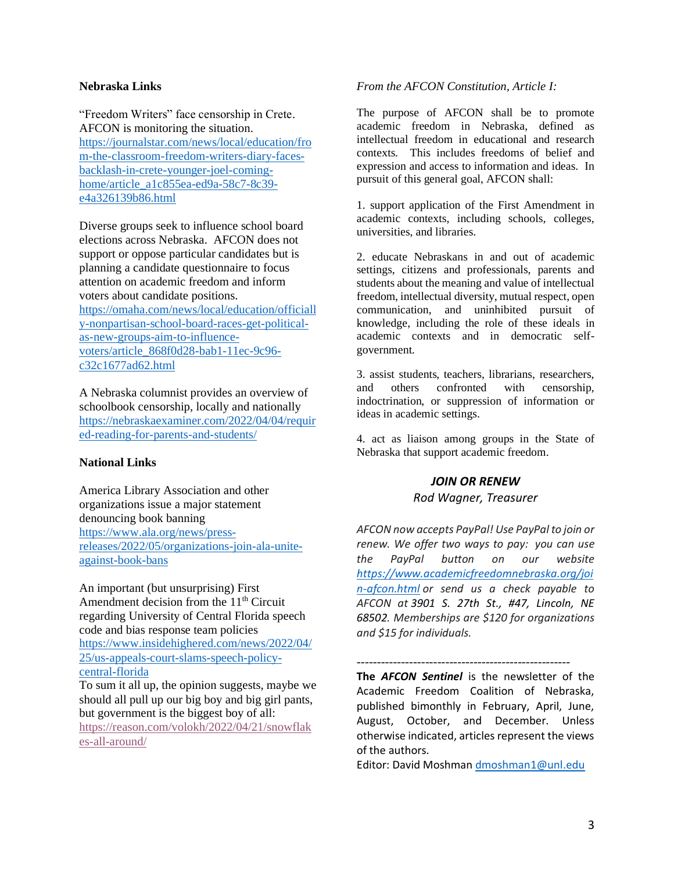## **Nebraska Links**

"Freedom Writers" face censorship in Crete. AFCON is monitoring the situation. [https://journalstar.com/news/local/education/fro](https://journalstar.com/news/local/education/from-the-classroom-freedom-writers-diary-faces-backlash-in-crete-younger-joel-coming-home/article_a1c855ea-ed9a-58c7-8c39-e4a326139b86.html) [m-the-classroom-freedom-writers-diary-faces](https://journalstar.com/news/local/education/from-the-classroom-freedom-writers-diary-faces-backlash-in-crete-younger-joel-coming-home/article_a1c855ea-ed9a-58c7-8c39-e4a326139b86.html)[backlash-in-crete-younger-joel-coming](https://journalstar.com/news/local/education/from-the-classroom-freedom-writers-diary-faces-backlash-in-crete-younger-joel-coming-home/article_a1c855ea-ed9a-58c7-8c39-e4a326139b86.html)[home/article\\_a1c855ea-ed9a-58c7-8c39](https://journalstar.com/news/local/education/from-the-classroom-freedom-writers-diary-faces-backlash-in-crete-younger-joel-coming-home/article_a1c855ea-ed9a-58c7-8c39-e4a326139b86.html) [e4a326139b86.html](https://journalstar.com/news/local/education/from-the-classroom-freedom-writers-diary-faces-backlash-in-crete-younger-joel-coming-home/article_a1c855ea-ed9a-58c7-8c39-e4a326139b86.html)

Diverse groups seek to influence school board elections across Nebraska. AFCON does not support or oppose particular candidates but is planning a candidate questionnaire to focus attention on academic freedom and inform voters about candidate positions. [https://omaha.com/news/local/education/officiall](https://omaha.com/news/local/education/officially-nonpartisan-school-board-races-get-political-as-new-groups-aim-to-influence-voters/article_868f0d28-bab1-11ec-9c96-c32c1677ad62.html) [y-nonpartisan-school-board-races-get-political](https://omaha.com/news/local/education/officially-nonpartisan-school-board-races-get-political-as-new-groups-aim-to-influence-voters/article_868f0d28-bab1-11ec-9c96-c32c1677ad62.html)[as-new-groups-aim-to-influence](https://omaha.com/news/local/education/officially-nonpartisan-school-board-races-get-political-as-new-groups-aim-to-influence-voters/article_868f0d28-bab1-11ec-9c96-c32c1677ad62.html)[voters/article\\_868f0d28-bab1-11ec-9c96](https://omaha.com/news/local/education/officially-nonpartisan-school-board-races-get-political-as-new-groups-aim-to-influence-voters/article_868f0d28-bab1-11ec-9c96-c32c1677ad62.html) [c32c1677ad62.html](https://omaha.com/news/local/education/officially-nonpartisan-school-board-races-get-political-as-new-groups-aim-to-influence-voters/article_868f0d28-bab1-11ec-9c96-c32c1677ad62.html)

A Nebraska columnist provides an overview of schoolbook censorship, locally and nationally [https://nebraskaexaminer.com/2022/04/04/requir](https://nebraskaexaminer.com/2022/04/04/required-reading-for-parents-and-students/) [ed-reading-for-parents-and-students/](https://nebraskaexaminer.com/2022/04/04/required-reading-for-parents-and-students/)

# **National Links**

America Library Association and other organizations issue a major statement denouncing book banning [https://www.ala.org/news/press](https://www.ala.org/news/press-releases/2022/05/organizations-join-ala-unite-against-book-bans)[releases/2022/05/organizations-join-ala-unite](https://www.ala.org/news/press-releases/2022/05/organizations-join-ala-unite-against-book-bans)[against-book-bans](https://www.ala.org/news/press-releases/2022/05/organizations-join-ala-unite-against-book-bans)

An important (but unsurprising) First Amendment decision from the  $11<sup>th</sup>$  Circuit regarding University of Central Florida speech code and bias response team policies [https://www.insidehighered.com/news/2022/04/](https://www.insidehighered.com/news/2022/04/25/us-appeals-court-slams-speech-policy-central-florida) [25/us-appeals-court-slams-speech-policy](https://www.insidehighered.com/news/2022/04/25/us-appeals-court-slams-speech-policy-central-florida)[central-florida](https://www.insidehighered.com/news/2022/04/25/us-appeals-court-slams-speech-policy-central-florida)

To sum it all up, the opinion suggests, maybe we should all pull up our big boy and big girl pants, but government is the biggest boy of all: [https://reason.com/volokh/2022/04/21/snowflak](https://reason.com/volokh/2022/04/21/snowflakes-all-around/) [es-all-around/](https://reason.com/volokh/2022/04/21/snowflakes-all-around/)

#### *From the AFCON Constitution, Article I:*

The purpose of AFCON shall be to promote academic freedom in Nebraska, defined as intellectual freedom in educational and research contexts. This includes freedoms of belief and expression and access to information and ideas. In pursuit of this general goal, AFCON shall:

1. support application of the First Amendment in academic contexts, including schools, colleges, universities, and libraries.

2. educate Nebraskans in and out of academic settings, citizens and professionals, parents and students about the meaning and value of intellectual freedom, intellectual diversity, mutual respect, open communication, and uninhibited pursuit of knowledge, including the role of these ideals in academic contexts and in democratic selfgovernment.

3. assist students, teachers, librarians, researchers, and others confronted with censorship, indoctrination, or suppression of information or ideas in academic settings.

4. act as liaison among groups in the State of Nebraska that support academic freedom.

# *JOIN OR RENEW*

## *Rod Wagner, Treasurer*

*AFCON now accepts PayPal! Use PayPal to join or renew. We offer two ways to pay: you can use the PayPal button on our website [https://www.academicfreedomnebraska.org/joi](https://www.academicfreedomnebraska.org/join-afcon.html) [n-afcon.html](https://www.academicfreedomnebraska.org/join-afcon.html) or send us a check payable to AFCON at 3901 S. 27th St., #47, Lincoln, NE 68502. Memberships are \$120 for organizations and \$15 for individuals.*

**The** *AFCON Sentinel* is the newsletter of the Academic Freedom Coalition of Nebraska, published bimonthly in February, April, June, August, October, and December. Unless otherwise indicated, articles represent the views of the authors.

Editor: David Moshman [dmoshman1@unl.edu](mailto:dmoshman1@unl.edu)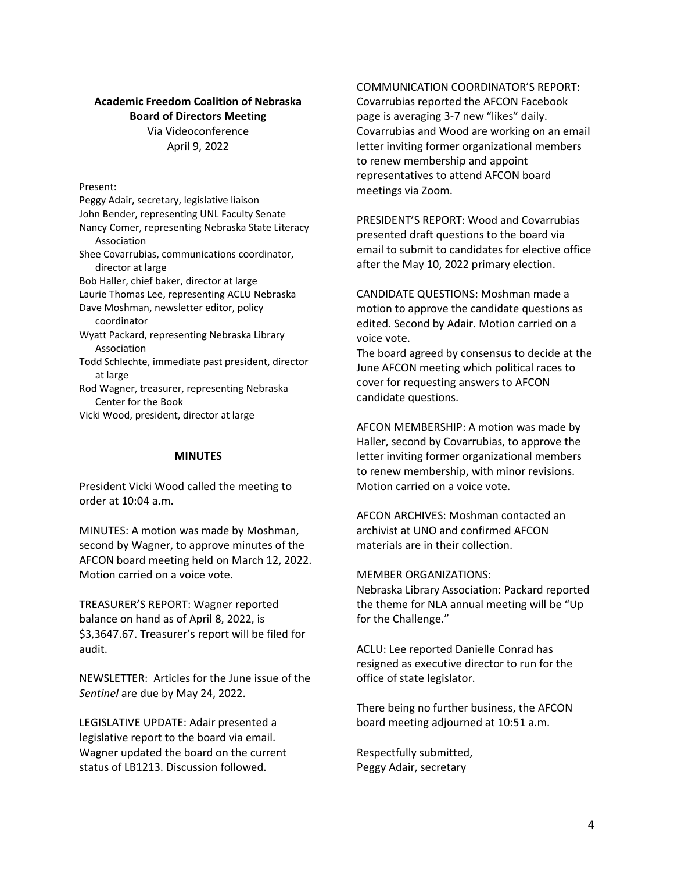#### **Academic Freedom Coalition of Nebraska Board of Directors Meeting**

Via Videoconference April 9, 2022

Present:

Peggy Adair, secretary, legislative liaison John Bender, representing UNL Faculty Senate Nancy Comer, representing Nebraska State Literacy Association Shee Covarrubias, communications coordinator, director at large Bob Haller, chief baker, director at large Laurie Thomas Lee, representing ACLU Nebraska Dave Moshman, newsletter editor, policy coordinator Wyatt Packard, representing Nebraska Library Association Todd Schlechte, immediate past president, director at large Rod Wagner, treasurer, representing Nebraska Center for the Book

Vicki Wood, president, director at large

#### **MINUTES**

President Vicki Wood called the meeting to order at 10:04 a.m.

MINUTES: A motion was made by Moshman, second by Wagner, to approve minutes of the AFCON board meeting held on March 12, 2022. Motion carried on a voice vote.

TREASURER'S REPORT: Wagner reported balance on hand as of April 8, 2022, is \$3,3647.67. Treasurer's report will be filed for audit.

NEWSLETTER: Articles for the June issue of the *Sentinel* are due by May 24, 2022.

LEGISLATIVE UPDATE: Adair presented a legislative report to the board via email. Wagner updated the board on the current status of LB1213. Discussion followed.

# COMMUNICATION COORDINATOR'S REPORT:

Covarrubias reported the AFCON Facebook page is averaging 3-7 new "likes" daily. Covarrubias and Wood are working on an email letter inviting former organizational members to renew membership and appoint representatives to attend AFCON board meetings via Zoom.

PRESIDENT'S REPORT: Wood and Covarrubias presented draft questions to the board via email to submit to candidates for elective office after the May 10, 2022 primary election.

CANDIDATE QUESTIONS: Moshman made a motion to approve the candidate questions as edited. Second by Adair. Motion carried on a voice vote.

The board agreed by consensus to decide at the June AFCON meeting which political races to cover for requesting answers to AFCON candidate questions.

AFCON MEMBERSHIP: A motion was made by Haller, second by Covarrubias, to approve the letter inviting former organizational members to renew membership, with minor revisions. Motion carried on a voice vote.

AFCON ARCHIVES: Moshman contacted an archivist at UNO and confirmed AFCON materials are in their collection.

#### MEMBER ORGANIZATIONS:

Nebraska Library Association: Packard reported the theme for NLA annual meeting will be "Up for the Challenge."

ACLU: Lee reported Danielle Conrad has resigned as executive director to run for the office of state legislator.

There being no further business, the AFCON board meeting adjourned at 10:51 a.m.

Respectfully submitted, Peggy Adair, secretary